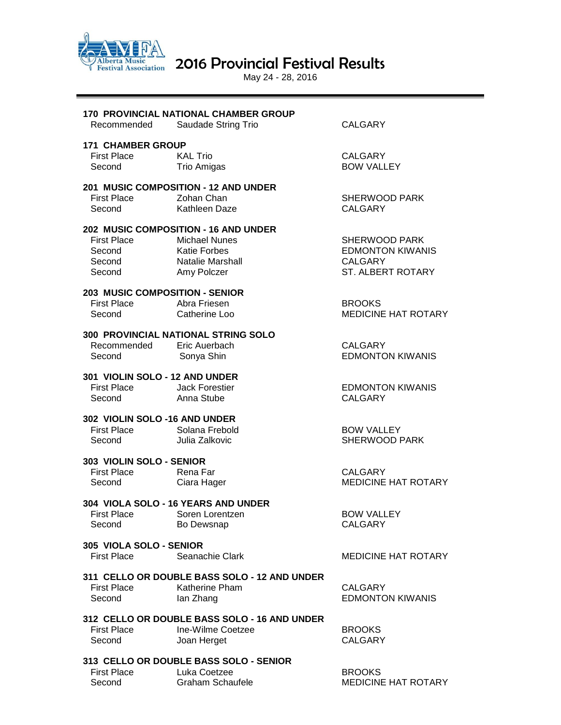

Alberta Music 2016 Provincial Festival Results

May 24 - 28, 2016

| Recommended                    | 170 PROVINCIAL NATIONAL CHAMBER GROUP<br>Saudade String Trio | <b>CALGARY</b>             |
|--------------------------------|--------------------------------------------------------------|----------------------------|
|                                |                                                              |                            |
| <b>171 CHAMBER GROUP</b>       |                                                              |                            |
| <b>First Place</b>             | <b>KAL Trio</b>                                              | <b>CALGARY</b>             |
| Second                         | Trio Amigas                                                  | <b>BOW VALLEY</b>          |
|                                | <b>201 MUSIC COMPOSITION - 12 AND UNDER</b>                  |                            |
| <b>First Place</b>             | Zohan Chan                                                   | SHERWOOD PARK              |
| Second                         | Kathleen Daze                                                | <b>CALGARY</b>             |
|                                | 202 MUSIC COMPOSITION - 16 AND UNDER                         |                            |
| First Place                    | <b>Michael Nunes</b>                                         | SHERWOOD PARK              |
| Second                         | <b>Katie Forbes</b>                                          | <b>EDMONTON KIWANIS</b>    |
| Second                         | Natalie Marshall                                             | CALGARY                    |
| Second<br>Second               | Amy Polczer                                                  | ST. ALBERT ROTARY          |
|                                |                                                              |                            |
| 203 MUSIC COMPOSITION - SENIOR |                                                              |                            |
| <b>First Place</b>             | Abra Friesen                                                 | <b>BROOKS</b>              |
| Second                         | Catherine Loo                                                | <b>MEDICINE HAT ROTARY</b> |
|                                | 300 PROVINCIAL NATIONAL STRING SOLO                          |                            |
| Recommended                    | Eric Auerbach                                                | <b>CALGARY</b>             |
| Second                         | Sonya Shin                                                   | <b>EDMONTON KIWANIS</b>    |
| 301 VIOLIN SOLO - 12 AND UNDER |                                                              |                            |
| <b>First Place</b>             | Jack Forestier                                               | <b>EDMONTON KIWANIS</b>    |
| Second                         | Anna Stube                                                   | <b>CALGARY</b>             |
|                                |                                                              |                            |
| 302 VIOLIN SOLO -16 AND UNDER  |                                                              |                            |
| First Place Solana Frebold     |                                                              | <b>BOW VALLEY</b>          |
| Second                         | Julia Zalkovic                                               | SHERWOOD PARK              |
| 303 VIOLIN SOLO - SENIOR       |                                                              |                            |
| <b>First Place</b>             | Rena Far                                                     | <b>CALGARY</b>             |
| Second                         | Ciara Hager                                                  | <b>MEDICINE HAT ROTARY</b> |
|                                | 304 VIOLA SOLO - 16 YEARS AND UNDER                          |                            |
| First Place Soren Lorentzen    |                                                              | <b>BOW VALLEY</b>          |
| Second                         | Bo Dewsnap                                                   | <b>CALGARY</b>             |
|                                |                                                              |                            |
| 305 VIOLA SOLO - SENIOR        |                                                              |                            |
| <b>First Place</b>             | Seanachie Clark                                              | <b>MEDICINE HAT ROTARY</b> |
|                                | 311 CELLO OR DOUBLE BASS SOLO - 12 AND UNDER                 |                            |
| <b>First Place</b>             | <b>Katherine Pham</b>                                        | <b>CALGARY</b>             |
| Second                         | lan Zhang                                                    | <b>EDMONTON KIWANIS</b>    |
|                                | 312 CELLO OR DOUBLE BASS SOLO - 16 AND UNDER                 |                            |
| <b>First Place</b>             | Ine-Wilme Coetzee                                            | <b>BROOKS</b>              |
| Second                         | Joan Herget                                                  | <b>CALGARY</b>             |
|                                |                                                              |                            |
|                                | 313 CELLO OR DOUBLE BASS SOLO - SENIOR                       |                            |
| <b>First Place</b>             | Luka Coetzee                                                 | <b>BROOKS</b>              |
| Second                         | <b>Graham Schaufele</b>                                      | MEDICINE HAT ROTARY        |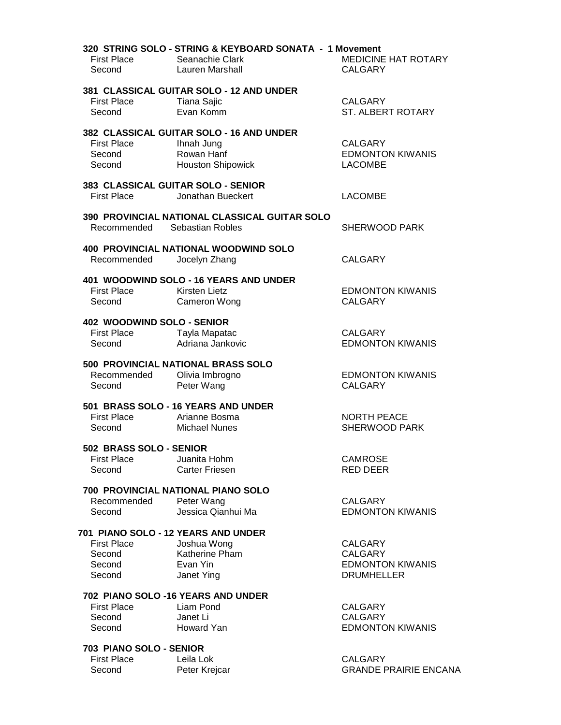| <b>First Place</b><br>Second                               | 320 STRING SOLO - STRING & KEYBOARD SONATA - 1 Movement<br>Seanachie Clark<br>Lauren Marshall | MEDICINE HAT ROTARY<br><b>CALGARY</b>          |
|------------------------------------------------------------|-----------------------------------------------------------------------------------------------|------------------------------------------------|
|                                                            | 381 CLASSICAL GUITAR SOLO - 12 AND UNDER                                                      |                                                |
| <b>First Place</b><br>Second                               | Tiana Sajic<br>Evan Komm                                                                      | <b>CALGARY</b><br>ST. ALBERT ROTARY            |
| First Place<br>Second                                      | 382 CLASSICAL GUITAR SOLO - 16 AND UNDER<br>Ihnah Jung<br>Rowan Hanf                          | <b>CALGARY</b><br><b>EDMONTON KIWANIS</b>      |
| Second                                                     | <b>Houston Shipowick</b>                                                                      | <b>LACOMBE</b>                                 |
| <b>First Place</b>                                         | 383 CLASSICAL GUITAR SOLO - SENIOR<br>Jonathan Bueckert                                       | <b>LACOMBE</b>                                 |
| Recommended Sebastian Robles                               | 390 PROVINCIAL NATIONAL CLASSICAL GUITAR SOLO                                                 | <b>SHERWOOD PARK</b>                           |
| Recommended                                                | <b>400 PROVINCIAL NATIONAL WOODWIND SOLO</b><br>Jocelyn Zhang                                 | <b>CALGARY</b>                                 |
| <b>First Place</b><br>Second                               | 401 WOODWIND SOLO - 16 YEARS AND UNDER<br><b>Kirsten Lietz</b>                                | <b>EDMONTON KIWANIS</b><br><b>CALGARY</b>      |
|                                                            | Cameron Wong                                                                                  |                                                |
| 402 WOODWIND SOLO - SENIOR<br><b>First Place</b><br>Second | Tayla Mapatac<br>Adriana Jankovic                                                             | <b>CALGARY</b><br><b>EDMONTON KIWANIS</b>      |
|                                                            | 500 PROVINCIAL NATIONAL BRASS SOLO                                                            |                                                |
| Recommended<br>Second                                      | Olivia Imbrogno<br>Peter Wang                                                                 | <b>EDMONTON KIWANIS</b><br><b>CALGARY</b>      |
|                                                            | 501 BRASS SOLO - 16 YEARS AND UNDER                                                           |                                                |
| <b>First Place</b><br>Second                               | Arianne Bosma<br><b>Michael Nunes</b>                                                         | <b>NORTH PEACE</b><br><b>SHERWOOD PARK</b>     |
| 502 BRASS SOLO - SENIOR                                    |                                                                                               |                                                |
| <b>First Place</b><br>Second                               | Juanita Hohm<br><b>Carter Friesen</b>                                                         | <b>CAMROSE</b><br>RED DEER                     |
|                                                            | 700 PROVINCIAL NATIONAL PIANO SOLO                                                            |                                                |
| Recommended<br>Second                                      | Peter Wang<br>Jessica Qianhui Ma                                                              | <b>CALGARY</b><br><b>EDMONTON KIWANIS</b>      |
|                                                            | 701 PIANO SOLO - 12 YEARS AND UNDER                                                           |                                                |
| <b>First Place</b>                                         | Joshua Wong<br>Katherine Pham                                                                 | <b>CALGARY</b>                                 |
| Second<br>Second                                           | Evan Yin                                                                                      | <b>CALGARY</b><br><b>EDMONTON KIWANIS</b>      |
| Second                                                     | Janet Ying                                                                                    | <b>DRUMHELLER</b>                              |
|                                                            | 702 PIANO SOLO -16 YEARS AND UNDER                                                            |                                                |
| <b>First Place</b>                                         | Liam Pond                                                                                     | <b>CALGARY</b>                                 |
| Second                                                     | Janet Li                                                                                      | <b>CALGARY</b>                                 |
| Second                                                     | Howard Yan                                                                                    | <b>EDMONTON KIWANIS</b>                        |
| 703 PIANO SOLO - SENIOR                                    |                                                                                               |                                                |
| <b>First Place</b><br>Second                               | Leila Lok<br>Peter Krejcar                                                                    | <b>CALGARY</b><br><b>GRANDE PRAIRIE ENCANA</b> |
|                                                            |                                                                                               |                                                |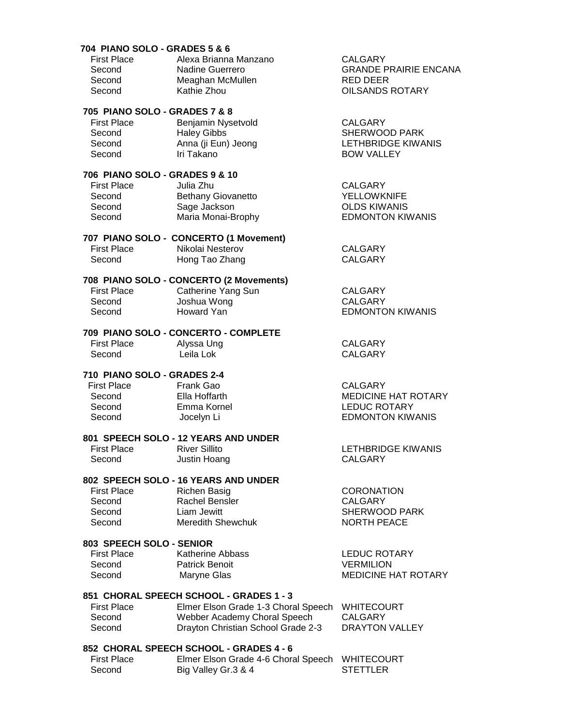## **704 PIANO SOLO - GRADES 5 & 6**

| <b>First Place</b> | Alexa Brianna Manzano | CALGARY                      |
|--------------------|-----------------------|------------------------------|
| Second             | Nadine Guerrero       | <b>GRANDE PRAIRIE ENCANA</b> |
| Second             | Meaghan McMullen      | RED DEER                     |
| Second             | Kathie Zhou           | <b>OILSANDS ROTARY</b>       |

# **705 PIANO SOLO - GRADES 7 & 8**

| <b>First Place</b> | Benjamin Nysetvold  | CALGARY            |
|--------------------|---------------------|--------------------|
| Second             | <b>Haley Gibbs</b>  | SHERWOOD PARK      |
| Second             | Anna (ji Eun) Jeong | LETHBRIDGE KIWANIS |
| Second             | Iri Takano          | <b>BOW VALLEY</b>  |
|                    |                     |                    |

# **706 PIANO SOLO - GRADES 9 & 10**

| <b>First Place</b> | Julia Zhu          | CALGARY                 |
|--------------------|--------------------|-------------------------|
| Second             | Bethany Giovanetto | <b>YELLOWKNIFE</b>      |
| Second             | Sage Jackson       | <b>OLDS KIWANIS</b>     |
| Second             | Maria Monai-Brophy | <b>EDMONTON KIWANIS</b> |
|                    |                    |                         |

## **707 PIANO SOLO - CONCERTO (1 Movement)**

| First Place | Nikolai Nesterov | CALGARY |
|-------------|------------------|---------|
| Second      | Hong Tao Zhang   | CALGARY |

## **708 PIANO SOLO - CONCERTO (2 Movements)**

First Place Catherine Yang Sun CALGARY Second Joshua Wong CALGARY Second Howard Yan **EDMONTON KIWANIS** 

# **709 PIANO SOLO - CONCERTO - COMPLETE**

First Place Alyssa Ung National CALGARY<br>
Second Leila Lok National CALGARY Leila Lok

## **710 PIANO SOLO - GRADES 2-4**

First Place Frank Gao **Frank CALGARY** 

# **801 SPEECH SOLO - 12 YEARS AND UNDER**

Second Justin Hoang CALGARY

Second Ella Hoffarth MEDICINE HAT ROTARY<br>
Second Emma Kornel MEDUC ROTARY Second Emma Kornel Emma LEDUC ROTARY<br>Second Jocelyn Li **EDMONTON KIWANIS** 

LETHBRIDGE KIWANIS

# **802 SPEECH SOLO - 16 YEARS AND UNDER**

Richen Basig CORONATION Rachel Bensler CALGARY Liam Jewitt **SHERWOOD PARK** Meredith Shewchuk NORTH PEACE

# **803 SPEECH SOLO - SENIOR**

| First Place | Katherine Abbass      | LEDUC ROTARY               |
|-------------|-----------------------|----------------------------|
| Second      | <b>Patrick Benoit</b> | <b>VERMILION</b>           |
| Second      | Maryne Glas           | <b>MEDICINE HAT ROTARY</b> |

# **851 CHORAL SPEECH SCHOOL - GRADES 1 - 3**

| <b>First Place</b> | Elmer Elson Grade 1-3 Choral Speech WHITECOURT |                |
|--------------------|------------------------------------------------|----------------|
| Second             | Webber Academy Choral Speech                   | CALGARY        |
| Second             | Drayton Christian School Grade 2-3             | DRAYTON VALLEY |

## **852 CHORAL SPEECH SCHOOL - GRADES 4 - 6**

| <b>First Place</b> | Elmer Elson Grade 4-6 Choral Speech WHITECOURT |          |
|--------------------|------------------------------------------------|----------|
| Second             | Big Valley Gr.3 & 4                            | STETTLER |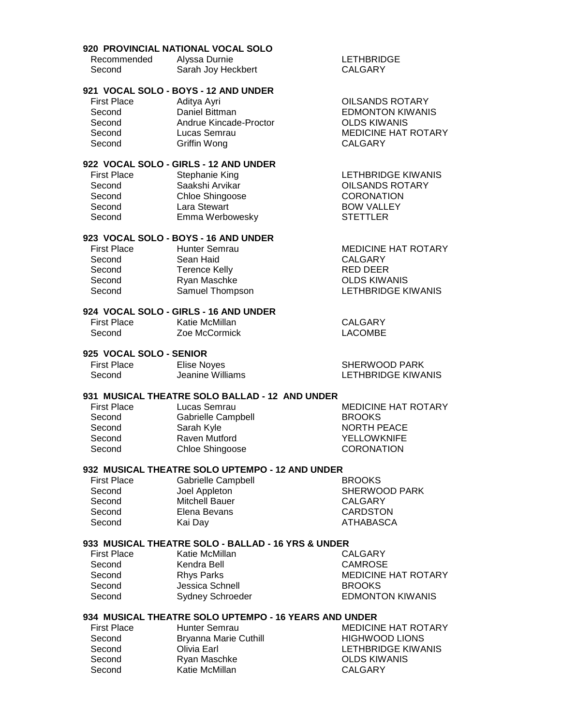#### **920 PROVINCIAL NATIONAL VOCAL SOLO**

| Recommended | Alyssa Durnie      |
|-------------|--------------------|
| Second      | Sarah Joy Heckbert |

#### **LETHBRIDGE** CALGARY

# **921 VOCAL SOLO - BOYS - 12 AND UNDER**

| <b>First Place</b> | Aditya Ayri            | <b>OILSANDS ROTARY</b>     |
|--------------------|------------------------|----------------------------|
| Second             | Daniel Bittman         | <b>EDMONTON KIWANIS</b>    |
| Second             | Andrue Kincade-Proctor | <b>OLDS KIWANIS</b>        |
| Second             | Lucas Semrau           | <b>MEDICINE HAT ROTARY</b> |
| Second             | Griffin Wong           | CALGARY                    |
|                    |                        |                            |

#### **922 VOCAL SOLO - GIRLS - 12 AND UNDER**

| <b>First Place</b> | Stephanie King  | LETHBRIDGE KIWANIS     |
|--------------------|-----------------|------------------------|
| Second             | Saakshi Arvikar | <b>OILSANDS ROTARY</b> |
| Second             | Chloe Shingoose | <b>CORONATION</b>      |
| Second             | Lara Stewart    | <b>BOW VALLEY</b>      |
| Second             | Emma Werbowesky | <b>STETTLER</b>        |
|                    |                 |                        |

### **923 VOCAL SOLO - BOYS - 16 AND UNDER**

| <b>First Place</b> | Hunter Semrau   | <b>MEDICINE HAT ROTARY</b> |
|--------------------|-----------------|----------------------------|
| Second             | Sean Haid       | CALGARY                    |
| Second             | Terence Kelly   | RED DEER                   |
| Second             | Ryan Maschke    | <b>OLDS KIWANIS</b>        |
| Second             | Samuel Thompson | LETHBRIDGE KIWANIS         |

#### **924 VOCAL SOLO - GIRLS - 16 AND UNDER**

| First Place | Katie McMillan | CALGARY        |
|-------------|----------------|----------------|
| Second      | Zoe McCormick  | <b>LACOMBE</b> |

## **925 VOCAL SOLO - SENIOR**

| First Place | Elise Noyes      | SHERWOOD PARK      |
|-------------|------------------|--------------------|
| Second      | Jeanine Williams | LETHBRIDGE KIWANIS |

#### **931 MUSICAL THEATRE SOLO BALLAD - 12 AND UNDER**

| <b>First Place</b> | Lucas Semrau              | <b>MEDICINE HAT ROTARY</b> |
|--------------------|---------------------------|----------------------------|
| Second             | <b>Gabrielle Campbell</b> | <b>BROOKS</b>              |
| Second             | Sarah Kyle                | <b>NORTH PEACE</b>         |
| Second             | Raven Mutford             | <b>YELLOWKNIFE</b>         |
| Second             | Chloe Shingoose           | <b>CORONATION</b>          |
|                    |                           |                            |

# **932 MUSICAL THEATRE SOLO UPTEMPO - 12 AND UNDER**

| <b>First Place</b> | <b>Gabrielle Campbell</b> | <b>BROOKS</b>        |
|--------------------|---------------------------|----------------------|
| Second             | Joel Appleton             | <b>SHERWOOD PARK</b> |
| Second             | <b>Mitchell Bauer</b>     | CALGARY              |
| Second             | Elena Bevans              | <b>CARDSTON</b>      |
| Second             | Kai Dav                   | ATHABASCA            |
|                    |                           |                      |

#### **933 MUSICAL THEATRE SOLO - BALLAD - 16 YRS & UNDER**

| <b>First Place</b> | Katie McMillan          |
|--------------------|-------------------------|
| Second             | Kendra Bell             |
| Second             | <b>Rhys Parks</b>       |
| Second             | Jessica Schnell         |
| Second             | <b>Sydney Schroeder</b> |

CALGARY CAMROSE **MEDICINE HAT ROTARY BROOKS EDMONTON KIWANIS** 

#### **934 MUSICAL THEATRE SOLO UPTEMPO - 16 YEARS AND UNDER**

First Place **Hunter Semrau MEDICINE HAT ROTARY** Second Bryanna Marie Cuthill HIGHWOOD LIONS Second Olivia Earl Divident Contract LETHBRIDGE KIWANIS Second Ryan Maschke **CLDS KIWANIS** Second Katie McMillan CALGARY